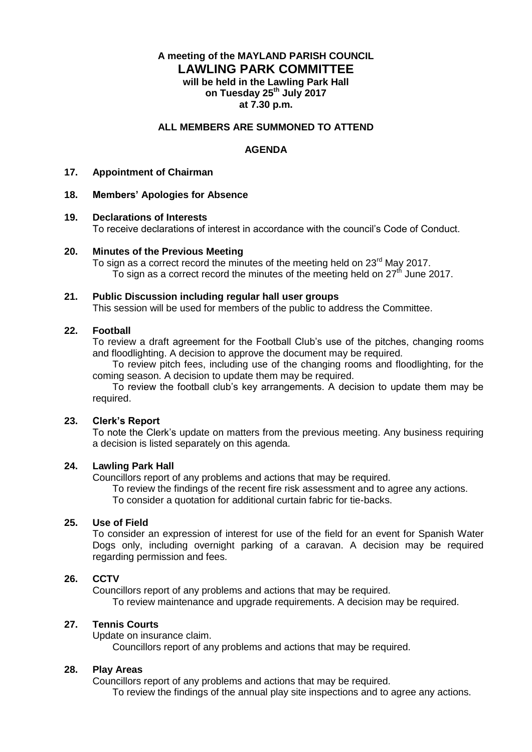# **A meeting of the MAYLAND PARISH COUNCIL LAWLING PARK COMMITTEE will be held in the Lawling Park Hall on Tuesday 25th July 2017 at 7.30 p.m.**

### **ALL MEMBERS ARE SUMMONED TO ATTEND**

# **AGENDA**

#### **17. Appointment of Chairman**

### **18. Members' Apologies for Absence**

#### **19. Declarations of Interests**

To receive declarations of interest in accordance with the council's Code of Conduct.

### **20. Minutes of the Previous Meeting**

To sign as a correct record the minutes of the meeting held on 23<sup>rd</sup> May 2017. To sign as a correct record the minutes of the meeting held on  $27<sup>th</sup>$  June 2017.

#### **21. Public Discussion including regular hall user groups**

This session will be used for members of the public to address the Committee.

### **22. Football**

To review a draft agreement for the Football Club's use of the pitches, changing rooms and floodlighting. A decision to approve the document may be required.

To review pitch fees, including use of the changing rooms and floodlighting, for the coming season. A decision to update them may be required.

To review the football club's key arrangements. A decision to update them may be required.

#### **23. Clerk's Report**

To note the Clerk's update on matters from the previous meeting. Any business requiring a decision is listed separately on this agenda.

### **24. Lawling Park Hall**

Councillors report of any problems and actions that may be required.

To review the findings of the recent fire risk assessment and to agree any actions. To consider a quotation for additional curtain fabric for tie-backs.

# **25. Use of Field**

To consider an expression of interest for use of the field for an event for Spanish Water Dogs only, including overnight parking of a caravan. A decision may be required regarding permission and fees.

#### **26. CCTV**

Councillors report of any problems and actions that may be required.

To review maintenance and upgrade requirements. A decision may be required.

# **27. Tennis Courts**

Update on insurance claim.

Councillors report of any problems and actions that may be required.

#### **28. Play Areas**

Councillors report of any problems and actions that may be required.

To review the findings of the annual play site inspections and to agree any actions.